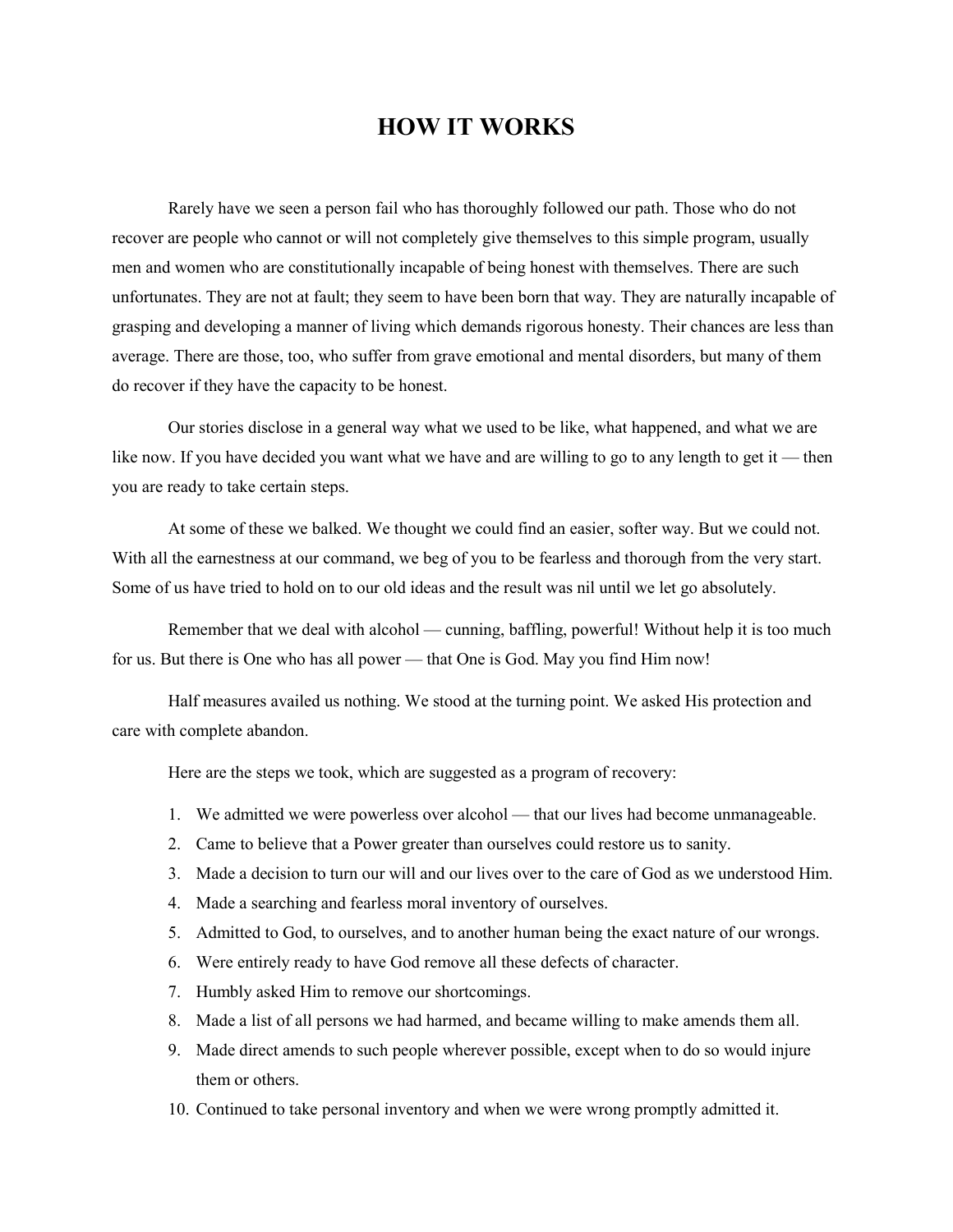## **HOW IT WORKS**

Rarely have we seen a person fail who has thoroughly followed our path. Those who do not recover are people who cannot or will not completely give themselves to this simple program, usually men and women who are constitutionally incapable of being honest with themselves. There are such unfortunates. They are not at fault; they seem to have been born that way. They are naturally incapable of grasping and developing a manner of living which demands rigorous honesty. Their chances are less than average. There are those, too, who suffer from grave emotional and mental disorders, but many of them do recover if they have the capacity to be honest.

Our stories disclose in a general way what we used to be like, what happened, and what we are like now. If you have decided you want what we have and are willing to go to any length to get it — then you are ready to take certain steps.

At some of these we balked. We thought we could find an easier, softer way. But we could not. With all the earnestness at our command, we beg of you to be fearless and thorough from the very start. Some of us have tried to hold on to our old ideas and the result was nil until we let go absolutely.

Remember that we deal with alcohol — cunning, baffling, powerful! Without help it is too much for us. But there is One who has all power — that One is God. May you find Him now!

Half measures availed us nothing. We stood at the turning point. We asked His protection and care with complete abandon.

Here are the steps we took, which are suggested as a program of recovery:

- 1. We admitted we were powerless over alcohol that our lives had become unmanageable.
- 2. Came to believe that a Power greater than ourselves could restore us to sanity.
- 3. Made a decision to turn our will and our lives over to the care of God as we understood Him.
- 4. Made a searching and fearless moral inventory of ourselves.
- 5. Admitted to God, to ourselves, and to another human being the exact nature of our wrongs.
- 6. Were entirely ready to have God remove all these defects of character.
- 7. Humbly asked Him to remove our shortcomings.
- 8. Made a list of all persons we had harmed, and became willing to make amends them all.
- 9. Made direct amends to such people wherever possible, except when to do so would injure them or others.
- 10. Continued to take personal inventory and when we were wrong promptly admitted it.